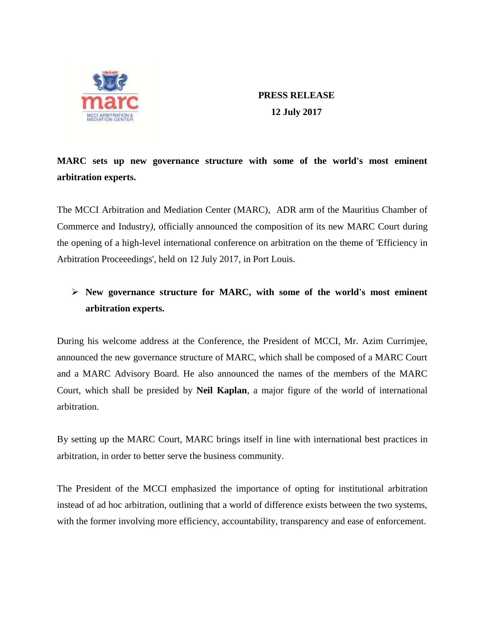

**PRESS RELEASE 12 July 2017**

# **MARC sets up new governance structure with some of the world's most eminent arbitration experts.**

The MCCI Arbitration and Mediation Center (MARC), ADR arm of the Mauritius Chamber of Commerce and Industry*)*, officially announced the composition of its new MARC Court during the opening of a high-level international conference on arbitration on the theme of 'Efficiency in Arbitration Proceeedings', held on 12 July 2017, in Port Louis.

# **New governance structure for MARC, with some of the world's most eminent arbitration experts.**

During his welcome address at the Conference, the President of MCCI, Mr. Azim Currimjee, announced the new governance structure of MARC, which shall be composed of a MARC Court and a MARC Advisory Board. He also announced the names of the members of the MARC Court, which shall be presided by **Neil Kaplan**, a major figure of the world of international arbitration.

By setting up the MARC Court, MARC brings itself in line with international best practices in arbitration, in order to better serve the business community.

The President of the MCCI emphasized the importance of opting for institutional arbitration instead of ad hoc arbitration, outlining that a world of difference exists between the two systems, with the former involving more efficiency, accountability, transparency and ease of enforcement.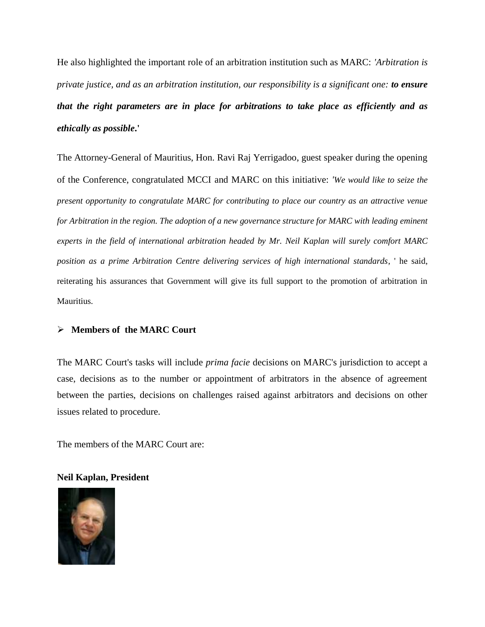He also highlighted the important role of an arbitration institution such as MARC: *'Arbitration is private justice, and as an arbitration institution, our responsibility is a significant one: to ensure that the right parameters are in place for arbitrations to take place as efficiently and as ethically as possible***.'**

The Attorney-General of Mauritius, Hon. Ravi Raj Yerrigadoo, guest speaker during the opening of the Conference, congratulated MCCI and MARC on this initiative: *'We would like to seize the present opportunity to congratulate MARC for contributing to place our country as an attractive venue for Arbitration in the region. The adoption of a new governance structure for MARC with leading eminent experts in the field of international arbitration headed by Mr. Neil Kaplan will surely comfort MARC position as a prime Arbitration Centre delivering services of high international standards*, ' he said, reiterating his assurances that Government will give its full support to the promotion of arbitration in Mauritius.

## **Members of the MARC Court**

The MARC Court's tasks will include *prima facie* decisions on MARC's jurisdiction to accept a case, decisions as to the number or appointment of arbitrators in the absence of agreement between the parties, decisions on challenges raised against arbitrators and decisions on other issues related to procedure.

The members of the MARC Court are:

## **Neil Kaplan, President**

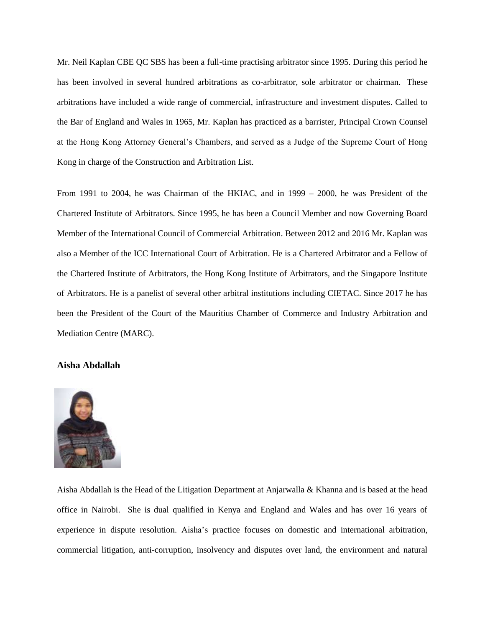Mr. Neil Kaplan CBE QC SBS has been a full-time practising arbitrator since 1995. During this period he has been involved in several hundred arbitrations as co-arbitrator, sole arbitrator or chairman. These arbitrations have included a wide range of commercial, infrastructure and investment disputes. Called to the Bar of England and Wales in 1965, Mr. Kaplan has practiced as a barrister, Principal Crown Counsel at the Hong Kong Attorney General's Chambers, and served as a Judge of the Supreme Court of Hong Kong in charge of the Construction and Arbitration List.

From 1991 to 2004, he was Chairman of the HKIAC, and in 1999 – 2000, he was President of the Chartered Institute of Arbitrators. Since 1995, he has been a Council Member and now Governing Board Member of the International Council of Commercial Arbitration. Between 2012 and 2016 Mr. Kaplan was also a Member of the ICC International Court of Arbitration. He is a Chartered Arbitrator and a Fellow of the Chartered Institute of Arbitrators, the Hong Kong Institute of Arbitrators, and the Singapore Institute of Arbitrators. He is a panelist of several other arbitral institutions including CIETAC. Since 2017 he has been the President of the Court of the Mauritius Chamber of Commerce and Industry Arbitration and Mediation Centre (MARC).

## **Aisha Abdallah**



Aisha Abdallah is the Head of the Litigation Department at Anjarwalla & Khanna and is based at the head office in Nairobi. She is dual qualified in Kenya and England and Wales and has over 16 years of experience in dispute resolution. Aisha's practice focuses on domestic and international arbitration, commercial litigation, anti-corruption, insolvency and disputes over land, the environment and natural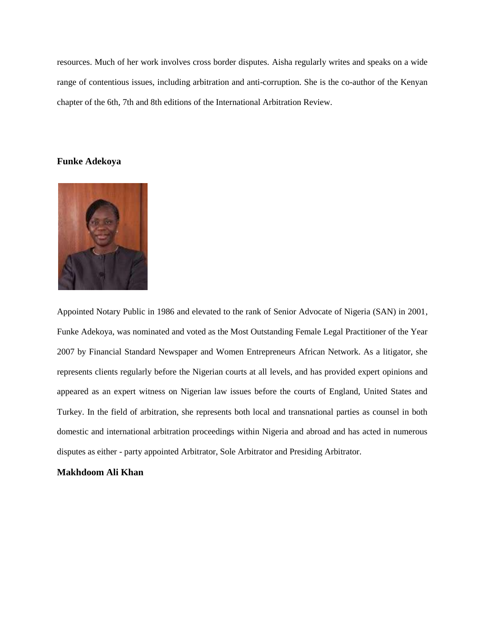resources. Much of her work involves cross border disputes. Aisha regularly writes and speaks on a wide range of contentious issues, including arbitration and anti-corruption. She is the co-author of the Kenyan chapter of the 6th, 7th and 8th editions of the International Arbitration Review.

## **Funke Adekoya**



Appointed Notary Public in 1986 and elevated to the rank of Senior Advocate of Nigeria (SAN) in 2001, Funke Adekoya, was nominated and voted as the Most Outstanding Female Legal Practitioner of the Year 2007 by Financial Standard Newspaper and Women Entrepreneurs African Network. As a litigator, she represents clients regularly before the Nigerian courts at all levels, and has provided expert opinions and appeared as an expert witness on Nigerian law issues before the courts of England, United States and Turkey. In the field of arbitration, she represents both local and transnational parties as counsel in both domestic and international arbitration proceedings within Nigeria and abroad and has acted in numerous disputes as either - party appointed Arbitrator, Sole Arbitrator and Presiding Arbitrator.

## **Makhdoom Ali Khan**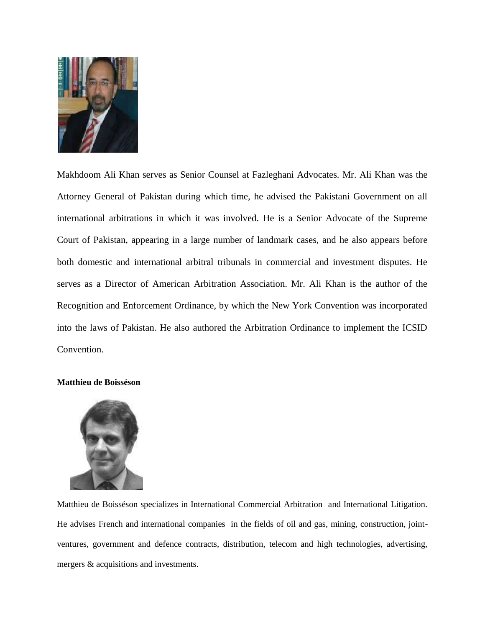

Makhdoom Ali Khan serves as Senior Counsel at Fazleghani Advocates. Mr. Ali Khan was the Attorney General of Pakistan during which time, he advised the Pakistani Government on all international arbitrations in which it was involved. He is a Senior Advocate of the Supreme Court of Pakistan, appearing in a large number of landmark cases, and he also appears before both domestic and international arbitral tribunals in commercial and investment disputes. He serves as a Director of American Arbitration Association. Mr. Ali Khan is the author of the Recognition and Enforcement Ordinance, by which the New York Convention was incorporated into the laws of Pakistan. He also authored the Arbitration Ordinance to implement the ICSID Convention.

#### **Matthieu de Boisséson**



Matthieu de Boisséson specializes in International Commercial Arbitration and International Litigation. He advises French and international companies in the fields of oil and gas, mining, construction, jointventures, government and defence contracts, distribution, telecom and high technologies, advertising, mergers & acquisitions and investments.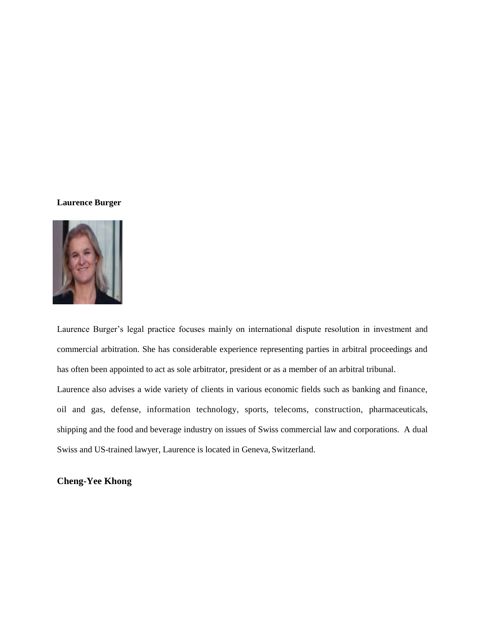## **Laurence Burger**



Laurence Burger's legal practice focuses mainly on international dispute resolution in investment and commercial arbitration. She has considerable experience representing parties in arbitral proceedings and has often been appointed to act as sole arbitrator, president or as a member of an arbitral tribunal. Laurence also advises a wide variety of clients in various economic fields such as banking and finance, oil and gas, defense, information technology, sports, telecoms, construction, pharmaceuticals, shipping and the food and beverage industry on issues of Swiss commercial law and corporations. A dual Swiss and US-trained lawyer, Laurence is located in Geneva, Switzerland.

## **Cheng-Yee Khong**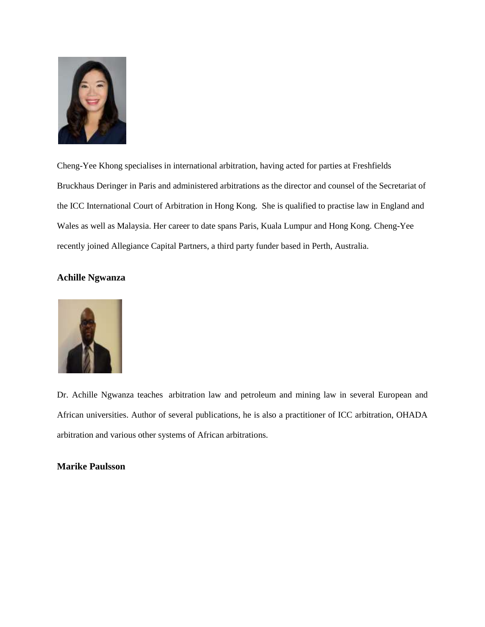

Cheng-Yee Khong specialises in international arbitration, having acted for parties at Freshfields Bruckhaus Deringer in Paris and administered arbitrations as the director and counsel of the Secretariat of the ICC International Court of Arbitration in Hong Kong. She is qualified to practise law in England and Wales as well as Malaysia. Her career to date spans Paris, Kuala Lumpur and Hong Kong. Cheng-Yee recently joined Allegiance Capital Partners, a third party funder based in Perth, Australia.

## **Achille Ngwanza**



Dr. Achille Ngwanza teaches arbitration law and petroleum and mining law in several European and African universities. Author of several publications, he is also a practitioner of ICC arbitration, OHADA arbitration and various other systems of African arbitrations.

## **Marike Paulsson**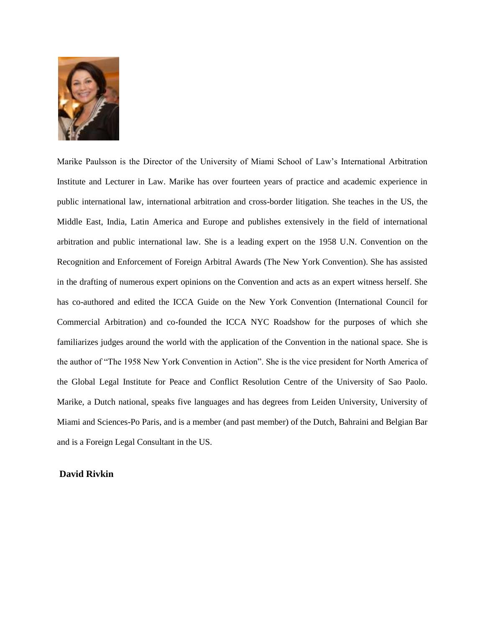

Marike Paulsson is the Director of the University of Miami School of Law's International Arbitration Institute and Lecturer in Law. Marike has over fourteen years of practice and academic experience in public international law, international arbitration and cross-border litigation. She teaches in the US, the Middle East, India, Latin America and Europe and publishes extensively in the field of international arbitration and public international law. She is a leading expert on the 1958 U.N. Convention on the Recognition and Enforcement of Foreign Arbitral Awards (The New York Convention). She has assisted in the drafting of numerous expert opinions on the Convention and acts as an expert witness herself. She has co-authored and edited the ICCA Guide on the New York Convention (International Council for Commercial Arbitration) and co-founded the ICCA NYC Roadshow for the purposes of which she familiarizes judges around the world with the application of the Convention in the national space. She is the author of "The 1958 New York Convention in Action". She is the vice president for North America of the Global Legal Institute for Peace and Conflict Resolution Centre of the University of Sao Paolo. Marike, a Dutch national, speaks five languages and has degrees from Leiden University, University of Miami and Sciences-Po Paris, and is a member (and past member) of the Dutch, Bahraini and Belgian Bar and is a Foreign Legal Consultant in the US.

#### **David Rivkin**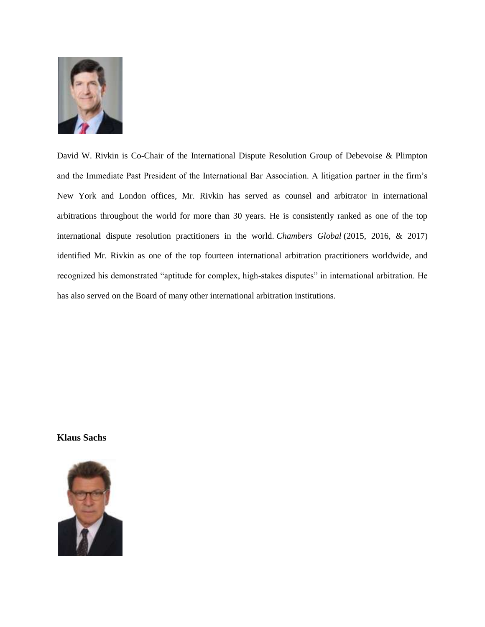

David W. Rivkin is Co-Chair of the International Dispute Resolution Group of Debevoise & Plimpton and the Immediate Past President of the International Bar Association. A litigation partner in the firm's New York and London offices, Mr. Rivkin has served as counsel and arbitrator in international arbitrations throughout the world for more than 30 years. He is consistently ranked as one of the top international dispute resolution practitioners in the world. *Chambers Global* (2015, 2016, & 2017) identified Mr. Rivkin as one of the top fourteen international arbitration practitioners worldwide, and recognized his demonstrated "aptitude for complex, high-stakes disputes" in international arbitration. He has also served on the Board of many other international arbitration institutions.

**Klaus Sachs**

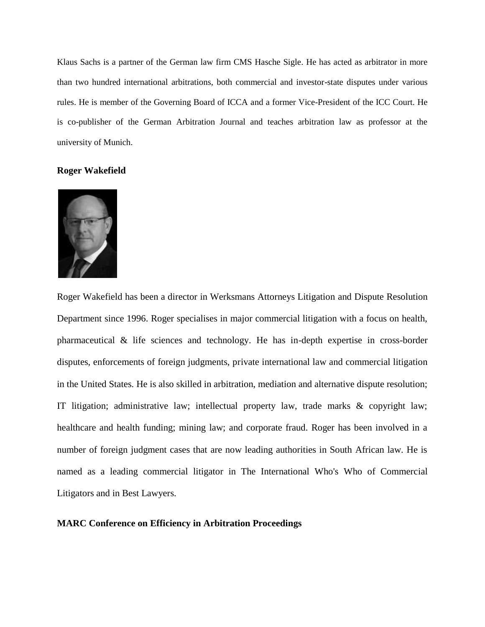Klaus Sachs is a partner of the German law firm CMS Hasche Sigle. He has acted as arbitrator in more than two hundred international arbitrations, both commercial and investor-state disputes under various rules. He is member of the Governing Board of ICCA and a former Vice-President of the ICC Court. He is co-publisher of the German Arbitration Journal and teaches arbitration law as professor at the university of Munich.

## **Roger Wakefield**



Roger Wakefield has been a director in Werksmans Attorneys Litigation and Dispute Resolution Department since 1996. Roger specialises in major commercial litigation with a focus on health, pharmaceutical & life sciences and technology. He has in-depth expertise in cross-border disputes, enforcements of foreign judgments, private international law and commercial litigation in the United States. He is also skilled in arbitration, mediation and alternative dispute resolution; IT litigation; administrative law; intellectual property law, trade marks & copyright law; healthcare and health funding; mining law; and corporate fraud. Roger has been involved in a number of foreign judgment cases that are now leading authorities in South African law. He is named as a leading commercial litigator in The International Who's Who of Commercial Litigators and in Best Lawyers.

## **MARC Conference on Efficiency in Arbitration Proceedings**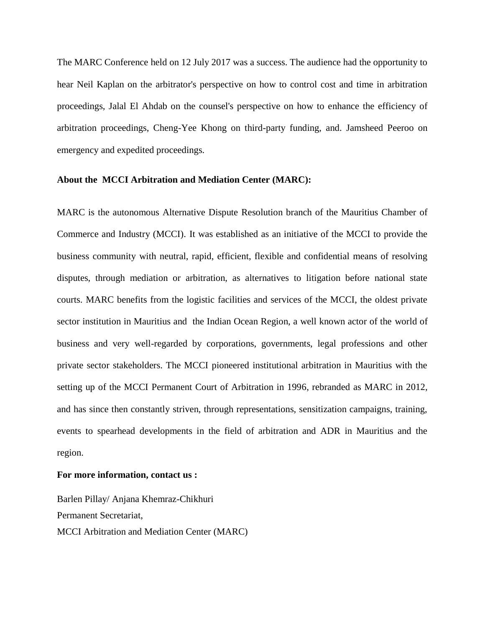The MARC Conference held on 12 July 2017 was a success. The audience had the opportunity to hear Neil Kaplan on the arbitrator's perspective on how to control cost and time in arbitration proceedings, Jalal El Ahdab on the counsel's perspective on how to enhance the efficiency of arbitration proceedings, Cheng-Yee Khong on third-party funding, and. Jamsheed Peeroo on emergency and expedited proceedings.

#### **About the MCCI Arbitration and Mediation Center (MARC):**

MARC is the autonomous Alternative Dispute Resolution branch of the Mauritius Chamber of Commerce and Industry (MCCI). It was established as an initiative of the MCCI to provide the business community with neutral, rapid, efficient, flexible and confidential means of resolving disputes, through mediation or arbitration, as alternatives to litigation before national state courts. MARC benefits from the logistic facilities and services of the MCCI, the oldest private sector institution in Mauritius and the Indian Ocean Region, a well known actor of the world of business and very well-regarded by corporations, governments, legal professions and other private sector stakeholders. The MCCI pioneered institutional arbitration in Mauritius with the setting up of the MCCI Permanent Court of Arbitration in 1996, rebranded as MARC in 2012, and has since then constantly striven, through representations, sensitization campaigns, training, events to spearhead developments in the field of arbitration and ADR in Mauritius and the region.

#### **For more information, contact us :**

Barlen Pillay/ Anjana Khemraz-Chikhuri Permanent Secretariat, MCCI Arbitration and Mediation Center (MARC)